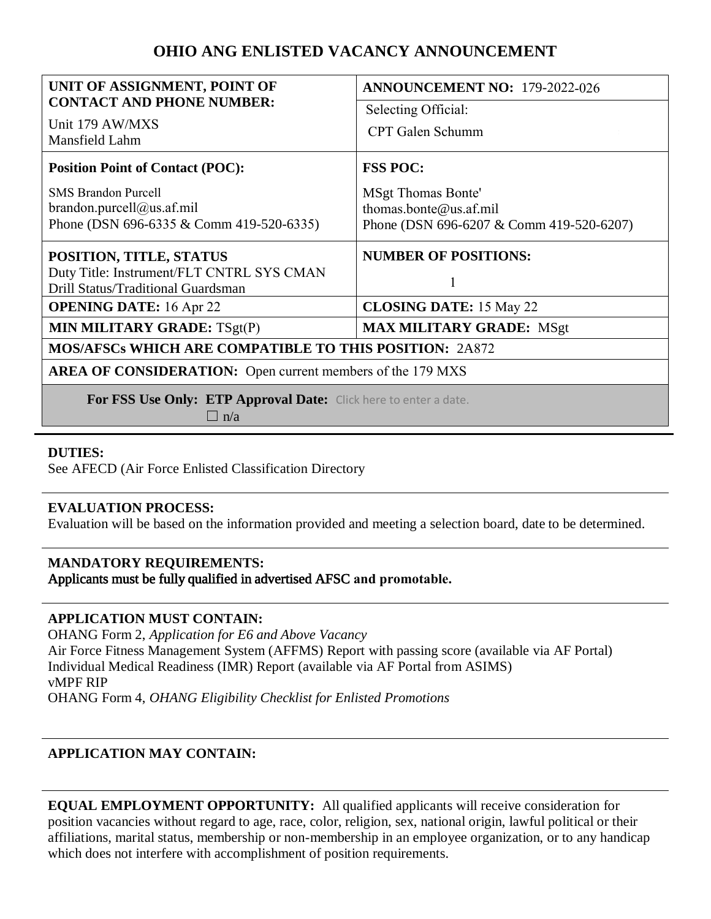# **OHIO ANG ENLISTED VACANCY ANNOUNCEMENT**

| UNIT OF ASSIGNMENT, POINT OF                                      | ANNOUNCEMENT NO: 179-2022-026            |
|-------------------------------------------------------------------|------------------------------------------|
| <b>CONTACT AND PHONE NUMBER:</b>                                  | Selecting Official:                      |
| Unit 179 AW/MXS<br>Mansfield Lahm                                 | CPT Galen Schumm                         |
| <b>Position Point of Contact (POC):</b>                           | <b>FSS POC:</b>                          |
| <b>SMS Brandon Purcell</b>                                        | <b>MSgt Thomas Bonte'</b>                |
| brandon.purcell@us.af.mil                                         | thomas.bonte@us.af.mil                   |
| Phone (DSN 696-6335 & Comm 419-520-6335)                          | Phone (DSN 696-6207 & Comm 419-520-6207) |
| POSITION, TITLE, STATUS                                           | <b>NUMBER OF POSITIONS:</b>              |
| Duty Title: Instrument/FLT CNTRL SYS CMAN                         |                                          |
| Drill Status/Traditional Guardsman                                |                                          |
| <b>OPENING DATE:</b> 16 Apr 22                                    | <b>CLOSING DATE: 15 May 22</b>           |
| <b>MIN MILITARY GRADE: TSgt(P)</b>                                | <b>MAX MILITARY GRADE: MSgt</b>          |
| <b>MOS/AFSCs WHICH ARE COMPATIBLE TO THIS POSITION: 2A872</b>     |                                          |
| <b>AREA OF CONSIDERATION:</b> Open current members of the 179 MXS |                                          |
| For FSS Use Only: ETP Approval Date: Click here to enter a date.  |                                          |
| $\Box$ n/a                                                        |                                          |

### **DUTIES:**

See AFECD (Air Force Enlisted Classification Directory

### **EVALUATION PROCESS:**

Evaluation will be based on the information provided and meeting a selection board, date to be determined.

### **MANDATORY REQUIREMENTS:**  Applicants must be fully qualified in advertised AFSC **and promotable.**

### **APPLICATION MUST CONTAIN:**

OHANG Form 2, *Application for E6 and Above Vacancy*  Air Force Fitness Management System (AFFMS) Report with passing score (available via AF Portal) Individual Medical Readiness (IMR) Report (available via AF Portal from ASIMS) vMPF RIP OHANG Form 4, *OHANG Eligibility Checklist for Enlisted Promotions* 

# **APPLICATION MAY CONTAIN:**

**EQUAL EMPLOYMENT OPPORTUNITY:** All qualified applicants will receive consideration for position vacancies without regard to age, race, color, religion, sex, national origin, lawful political or their affiliations, marital status, membership or non-membership in an employee organization, or to any handicap which does not interfere with accomplishment of position requirements.